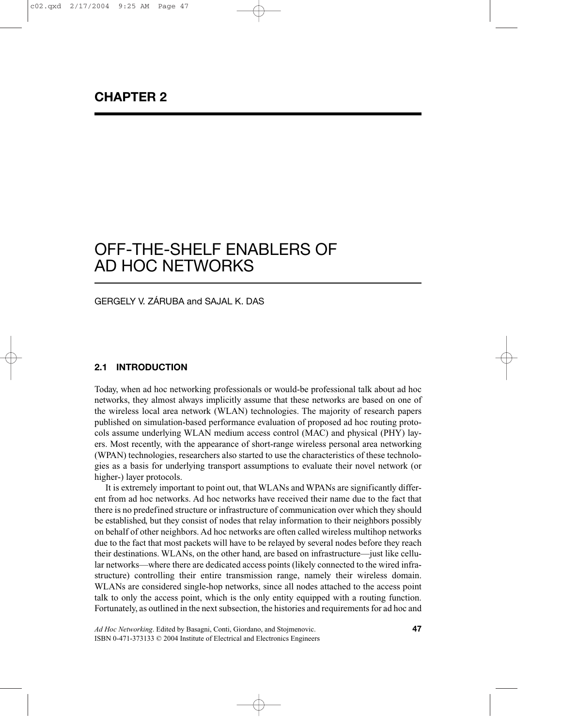# **CHAPTER 2**

# OFF-THE-SHELF ENABLERS OF AD HOC NETWORKS

GERGELY V. ZÁRUBA and SAJAL K. DAS

# **2.1 INTRODUCTION**

Today, when ad hoc networking professionals or would-be professional talk about ad hoc networks, they almost always implicitly assume that these networks are based on one of the wireless local area network (WLAN) technologies. The majority of research papers published on simulation-based performance evaluation of proposed ad hoc routing protocols assume underlying WLAN medium access control (MAC) and physical (PHY) layers. Most recently, with the appearance of short-range wireless personal area networking (WPAN) technologies, researchers also started to use the characteristics of these technologies as a basis for underlying transport assumptions to evaluate their novel network (or higher-) layer protocols.

It is extremely important to point out, that WLANs and WPANs are significantly different from ad hoc networks. Ad hoc networks have received their name due to the fact that there is no predefined structure or infrastructure of communication over which they should be established, but they consist of nodes that relay information to their neighbors possibly on behalf of other neighbors. Ad hoc networks are often called wireless multihop networks due to the fact that most packets will have to be relayed by several nodes before they reach their destinations. WLANs, on the other hand, are based on infrastructure—just like cellular networks—where there are dedicated access points (likely connected to the wired infrastructure) controlling their entire transmission range, namely their wireless domain. WLANs are considered single-hop networks, since all nodes attached to the access point talk to only the access point, which is the only entity equipped with a routing function. Fortunately, as outlined in the next subsection, the histories and requirements for ad hoc and

*Ad Hoc Networking*. Edited by Basagni, Conti, Giordano, and Stojmenovic. **47** ISBN 0-471-373133 © 2004 Institute of Electrical and Electronics Engineers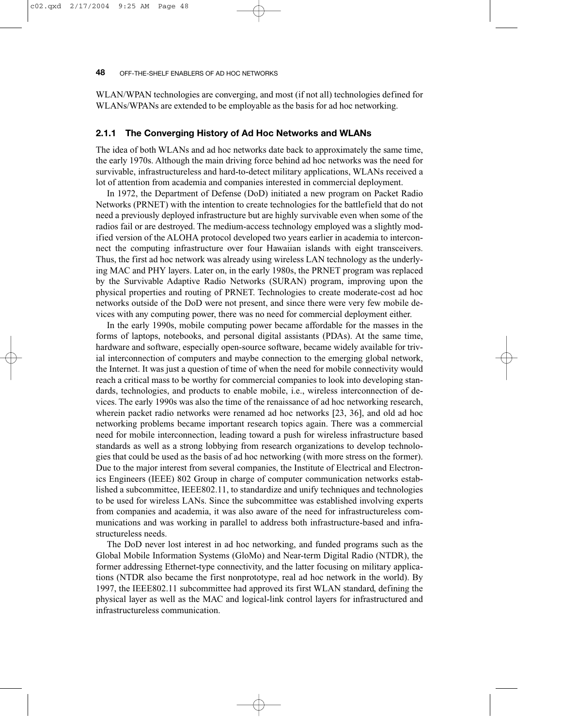WLAN/WPAN technologies are converging, and most (if not all) technologies defined for WLANs/WPANs are extended to be employable as the basis for ad hoc networking.

#### **2.1.1 The Converging History of Ad Hoc Networks and WLANs**

The idea of both WLANs and ad hoc networks date back to approximately the same time, the early 1970s. Although the main driving force behind ad hoc networks was the need for survivable, infrastructureless and hard-to-detect military applications, WLANs received a lot of attention from academia and companies interested in commercial deployment.

In 1972, the Department of Defense (DoD) initiated a new program on Packet Radio Networks (PRNET) with the intention to create technologies for the battlefield that do not need a previously deployed infrastructure but are highly survivable even when some of the radios fail or are destroyed. The medium-access technology employed was a slightly modified version of the ALOHA protocol developed two years earlier in academia to interconnect the computing infrastructure over four Hawaiian islands with eight transceivers. Thus, the first ad hoc network was already using wireless LAN technology as the underlying MAC and PHY layers. Later on, in the early 1980s, the PRNET program was replaced by the Survivable Adaptive Radio Networks (SURAN) program, improving upon the physical properties and routing of PRNET. Technologies to create moderate-cost ad hoc networks outside of the DoD were not present, and since there were very few mobile devices with any computing power, there was no need for commercial deployment either.

In the early 1990s, mobile computing power became affordable for the masses in the forms of laptops, notebooks, and personal digital assistants (PDAs). At the same time, hardware and software, especially open-source software, became widely available for trivial interconnection of computers and maybe connection to the emerging global network, the Internet. It was just a question of time of when the need for mobile connectivity would reach a critical mass to be worthy for commercial companies to look into developing standards, technologies, and products to enable mobile, i.e., wireless interconnection of devices. The early 1990s was also the time of the renaissance of ad hoc networking research, wherein packet radio networks were renamed ad hoc networks [23, 36], and old ad hoc networking problems became important research topics again. There was a commercial need for mobile interconnection, leading toward a push for wireless infrastructure based standards as well as a strong lobbying from research organizations to develop technologies that could be used as the basis of ad hoc networking (with more stress on the former). Due to the major interest from several companies, the Institute of Electrical and Electronics Engineers (IEEE) 802 Group in charge of computer communication networks established a subcommittee, IEEE802.11, to standardize and unify techniques and technologies to be used for wireless LANs. Since the subcommittee was established involving experts from companies and academia, it was also aware of the need for infrastructureless communications and was working in parallel to address both infrastructure-based and infrastructureless needs.

The DoD never lost interest in ad hoc networking, and funded programs such as the Global Mobile Information Systems (GloMo) and Near-term Digital Radio (NTDR), the former addressing Ethernet-type connectivity, and the latter focusing on military applications (NTDR also became the first nonprototype, real ad hoc network in the world). By 1997, the IEEE802.11 subcommittee had approved its first WLAN standard, defining the physical layer as well as the MAC and logical-link control layers for infrastructured and infrastructureless communication.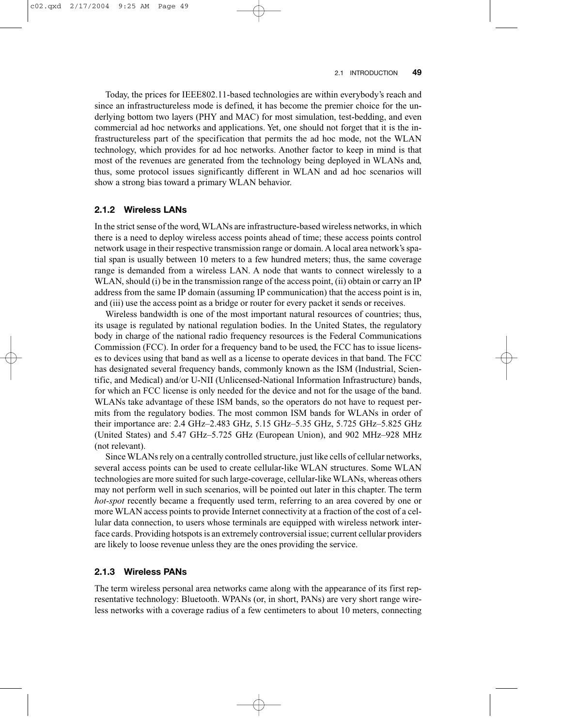Today, the prices for IEEE802.11-based technologies are within everybody's reach and since an infrastructureless mode is defined, it has become the premier choice for the underlying bottom two layers (PHY and MAC) for most simulation, test-bedding, and even commercial ad hoc networks and applications. Yet, one should not forget that it is the infrastructureless part of the specification that permits the ad hoc mode, not the WLAN technology, which provides for ad hoc networks. Another factor to keep in mind is that most of the revenues are generated from the technology being deployed in WLANs and, thus, some protocol issues significantly different in WLAN and ad hoc scenarios will show a strong bias toward a primary WLAN behavior.

# **2.1.2 Wireless LANs**

In the strict sense of the word, WLANs are infrastructure-based wireless networks, in which there is a need to deploy wireless access points ahead of time; these access points control network usage in their respective transmission range or domain. A local area network's spatial span is usually between 10 meters to a few hundred meters; thus, the same coverage range is demanded from a wireless LAN. A node that wants to connect wirelessly to a WLAN, should (i) be in the transmission range of the access point, (ii) obtain or carry an IP address from the same IP domain (assuming IP communication) that the access point is in, and (iii) use the access point as a bridge or router for every packet it sends or receives.

Wireless bandwidth is one of the most important natural resources of countries; thus, its usage is regulated by national regulation bodies. In the United States, the regulatory body in charge of the national radio frequency resources is the Federal Communications Commission (FCC). In order for a frequency band to be used, the FCC has to issue licenses to devices using that band as well as a license to operate devices in that band. The FCC has designated several frequency bands, commonly known as the ISM (Industrial, Scientific, and Medical) and/or U-NII (Unlicensed-National Information Infrastructure) bands, for which an FCC license is only needed for the device and not for the usage of the band. WLANs take advantage of these ISM bands, so the operators do not have to request permits from the regulatory bodies. The most common ISM bands for WLANs in order of their importance are: 2.4 GHz–2.483 GHz, 5.15 GHz–5.35 GHz, 5.725 GHz–5.825 GHz (United States) and 5.47 GHz–5.725 GHz (European Union), and 902 MHz–928 MHz (not relevant).

Since WLANs rely on a centrally controlled structure, just like cells of cellular networks, several access points can be used to create cellular-like WLAN structures. Some WLAN technologies are more suited for such large-coverage, cellular-like WLANs, whereas others may not perform well in such scenarios, will be pointed out later in this chapter. The term *hot-spot* recently became a frequently used term, referring to an area covered by one or more WLAN access points to provide Internet connectivity at a fraction of the cost of a cellular data connection, to users whose terminals are equipped with wireless network interface cards. Providing hotspots is an extremely controversial issue; current cellular providers are likely to loose revenue unless they are the ones providing the service.

## **2.1.3 Wireless PANs**

The term wireless personal area networks came along with the appearance of its first representative technology: Bluetooth. WPANs (or, in short, PANs) are very short range wireless networks with a coverage radius of a few centimeters to about 10 meters, connecting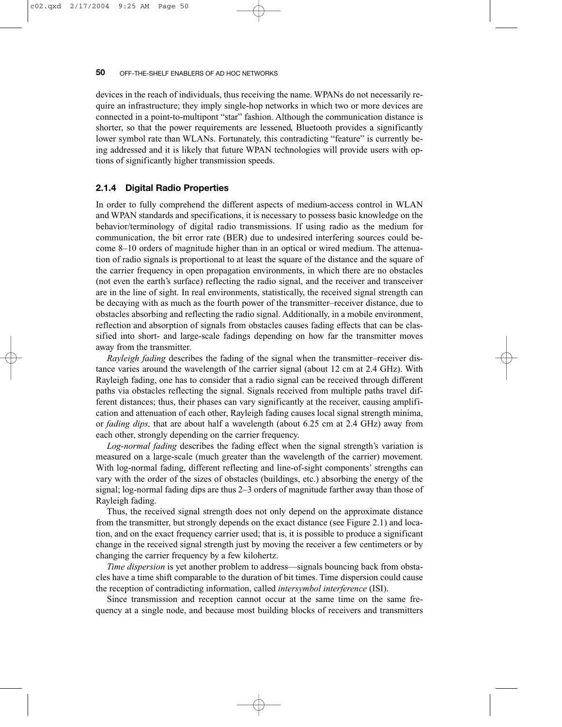devices in the reach of individuals, thus receiving the name. WPANs do not necessarily require an infrastructure; they imply single-hop networks in which two or more devices are connected in a point-to-multipont "star" fashion. Although the communication distance is shorter, so that the power requirements are lessened, Bluetooth provides a significantly lower symbol rate than WLANs. Fortunately, this contradicting "feature" is currently being addressed and it is likely that future WPAN technologies will provide users with options of significantly higher transmission speeds.

#### **2.1.4 Digital Radio Properties**

In order to fully comprehend the different aspects of medium-access control in WLAN and WPAN standards and specifications, it is necessary to possess basic knowledge on the behavior/terminology of digital radio transmissions. If using radio as the medium for communication, the bit error rate (BER) due to undesired interfering sources could become 8–10 orders of magnitude higher than in an optical or wired medium. The attenuation of radio signals is proportional to at least the square of the distance and the square of the carrier frequency in open propagation environments, in which there are no obstacles (not even the earth's surface) reflecting the radio signal, and the receiver and transceiver are in the line of sight. In real environments, statistically, the received signal strength can be decaying with as much as the fourth power of the transmitter–receiver distance, due to obstacles absorbing and reflecting the radio signal. Additionally, in a mobile environment, reflection and absorption of signals from obstacles causes fading effects that can be classified into short- and large-scale fadings depending on how far the transmitter moves away from the transmitter.

*Rayleigh fading* describes the fading of the signal when the transmitter–receiver distance varies around the wavelength of the carrier signal (about 12 cm at 2.4 GHz). With Rayleigh fading, one has to consider that a radio signal can be received through different paths via obstacles reflecting the signal. Signals received from multiple paths travel different distances; thus, their phases can vary significantly at the receiver, causing amplification and attenuation of each other, Rayleigh fading causes local signal strength minima, or *fading dips,* that are about half a wavelength (about 6.25 cm at 2.4 GHz) away from each other, strongly depending on the carrier frequency.

*Log-normal fading* describes the fading effect when the signal strength's variation is measured on a large-scale (much greater than the wavelength of the carrier) movement. With log-normal fading, different reflecting and line-of-sight components' strengths can vary with the order of the sizes of obstacles (buildings, etc.) absorbing the energy of the signal; log-normal fading dips are thus 2–3 orders of magnitude farther away than those of Rayleigh fading.

Thus, the received signal strength does not only depend on the approximate distance from the transmitter, but strongly depends on the exact distance (see Figure 2.1) and location, and on the exact frequency carrier used; that is, it is possible to produce a significant change in the received signal strength just by moving the receiver a few centimeters or by changing the carrier frequency by a few kilohertz.

*Time dispersion* is yet another problem to address—signals bouncing back from obstacles have a time shift comparable to the duration of bit times. Time dispersion could cause the reception of contradicting information, called *intersymbol interference* (ISI).

Since transmission and reception cannot occur at the same time on the same frequency at a single node, and because most building blocks of receivers and transmitters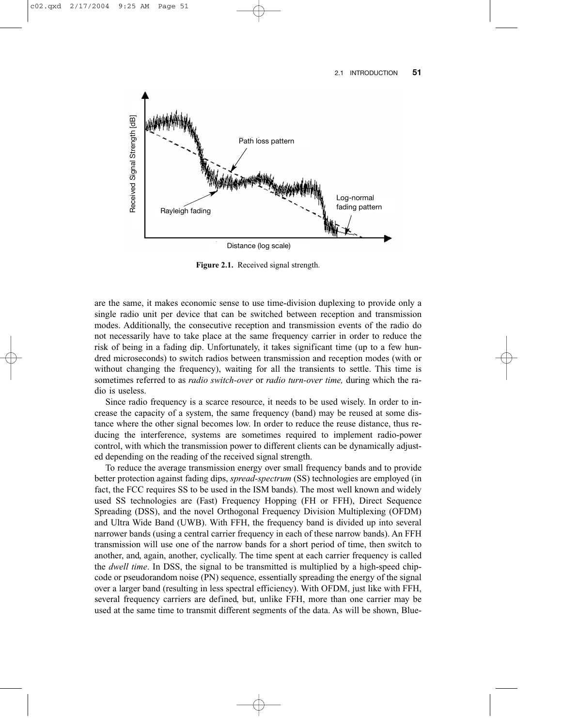



**Figure 2.1.** Received signal strength.

are the same, it makes economic sense to use time-division duplexing to provide only a single radio unit per device that can be switched between reception and transmission modes. Additionally, the consecutive reception and transmission events of the radio do not necessarily have to take place at the same frequency carrier in order to reduce the risk of being in a fading dip. Unfortunately, it takes significant time (up to a few hundred microseconds) to switch radios between transmission and reception modes (with or without changing the frequency), waiting for all the transients to settle. This time is sometimes referred to as *radio switch-over* or *radio turn-over time,* during which the radio is useless.

Since radio frequency is a scarce resource, it needs to be used wisely. In order to increase the capacity of a system, the same frequency (band) may be reused at some distance where the other signal becomes low. In order to reduce the reuse distance, thus reducing the interference, systems are sometimes required to implement radio-power control, with which the transmission power to different clients can be dynamically adjusted depending on the reading of the received signal strength.

To reduce the average transmission energy over small frequency bands and to provide better protection against fading dips, *spread-spectrum* (SS) technologies are employed (in fact, the FCC requires SS to be used in the ISM bands). The most well known and widely used SS technologies are (Fast) Frequency Hopping (FH or FFH), Direct Sequence Spreading (DSS), and the novel Orthogonal Frequency Division Multiplexing (OFDM) and Ultra Wide Band (UWB). With FFH, the frequency band is divided up into several narrower bands (using a central carrier frequency in each of these narrow bands). An FFH transmission will use one of the narrow bands for a short period of time, then switch to another, and, again, another, cyclically. The time spent at each carrier frequency is called the *dwell time*. In DSS, the signal to be transmitted is multiplied by a high-speed chipcode or pseudorandom noise (PN) sequence, essentially spreading the energy of the signal over a larger band (resulting in less spectral efficiency). With OFDM, just like with FFH, several frequency carriers are defined, but, unlike FFH, more than one carrier may be used at the same time to transmit different segments of the data. As will be shown, Blue-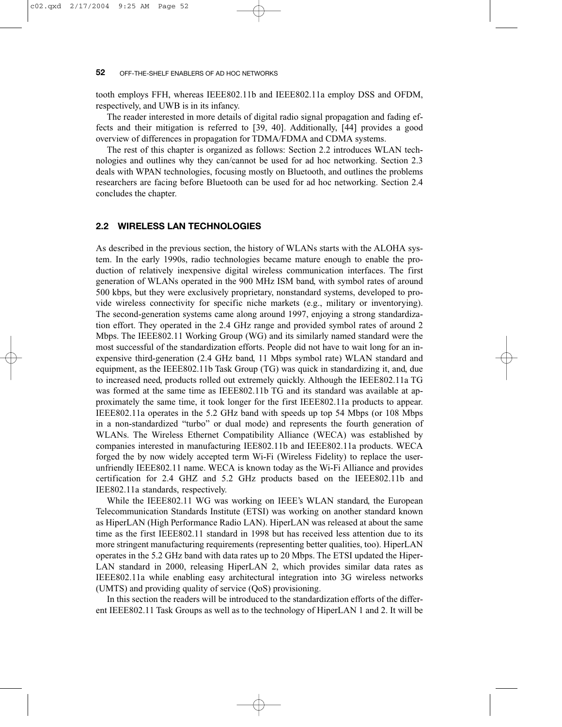tooth employs FFH, whereas IEEE802.11b and IEEE802.11a employ DSS and OFDM, respectively, and UWB is in its infancy.

The reader interested in more details of digital radio signal propagation and fading effects and their mitigation is referred to [39, 40]. Additionally, [44] provides a good overview of differences in propagation for TDMA/FDMA and CDMA systems.

The rest of this chapter is organized as follows: Section 2.2 introduces WLAN technologies and outlines why they can/cannot be used for ad hoc networking. Section 2.3 deals with WPAN technologies, focusing mostly on Bluetooth, and outlines the problems researchers are facing before Bluetooth can be used for ad hoc networking. Section 2.4 concludes the chapter.

# **2.2 WIRELESS LAN TECHNOLOGIES**

As described in the previous section, the history of WLANs starts with the ALOHA system. In the early 1990s, radio technologies became mature enough to enable the production of relatively inexpensive digital wireless communication interfaces. The first generation of WLANs operated in the 900 MHz ISM band, with symbol rates of around 500 kbps, but they were exclusively proprietary, nonstandard systems, developed to provide wireless connectivity for specific niche markets (e.g., military or inventorying). The second-generation systems came along around 1997, enjoying a strong standardization effort. They operated in the 2.4 GHz range and provided symbol rates of around 2 Mbps. The IEEE802.11 Working Group (WG) and its similarly named standard were the most successful of the standardization efforts. People did not have to wait long for an inexpensive third-generation (2.4 GHz band, 11 Mbps symbol rate) WLAN standard and equipment, as the IEEE802.11b Task Group (TG) was quick in standardizing it, and, due to increased need, products rolled out extremely quickly. Although the IEEE802.11a TG was formed at the same time as IEEE802.11b TG and its standard was available at approximately the same time, it took longer for the first IEEE802.11a products to appear. IEEE802.11a operates in the 5.2 GHz band with speeds up top 54 Mbps (or 108 Mbps in a non-standardized "turbo" or dual mode) and represents the fourth generation of WLANs. The Wireless Ethernet Compatibility Alliance (WECA) was established by companies interested in manufacturing IEE802.11b and IEEE802.11a products. WECA forged the by now widely accepted term Wi-Fi (Wireless Fidelity) to replace the userunfriendly IEEE802.11 name. WECA is known today as the Wi-Fi Alliance and provides certification for 2.4 GHZ and 5.2 GHz products based on the IEEE802.11b and IEE802.11a standards, respectively.

While the IEEE802.11 WG was working on IEEE's WLAN standard, the European Telecommunication Standards Institute (ETSI) was working on another standard known as HiperLAN (High Performance Radio LAN). HiperLAN was released at about the same time as the first IEEE802.11 standard in 1998 but has received less attention due to its more stringent manufacturing requirements (representing better qualities, too). HiperLAN operates in the 5.2 GHz band with data rates up to 20 Mbps. The ETSI updated the Hiper-LAN standard in 2000, releasing HiperLAN 2, which provides similar data rates as IEEE802.11a while enabling easy architectural integration into 3G wireless networks (UMTS) and providing quality of service (QoS) provisioning.

In this section the readers will be introduced to the standardization efforts of the different IEEE802.11 Task Groups as well as to the technology of HiperLAN 1 and 2. It will be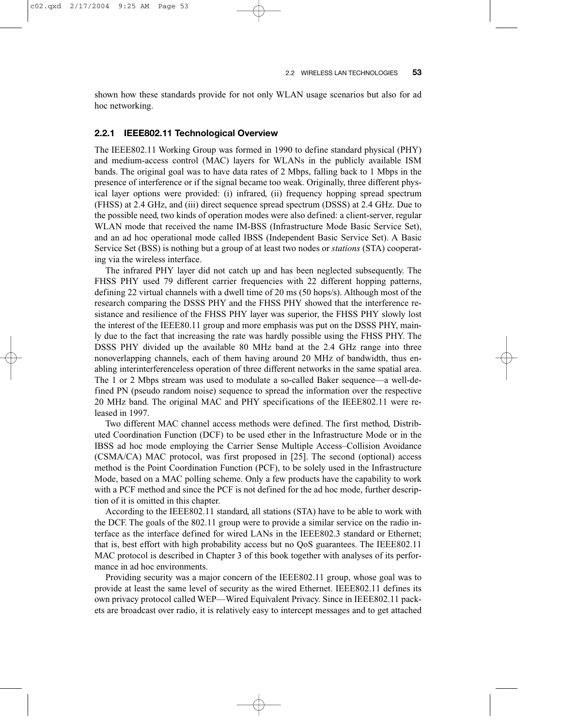shown how these standards provide for not only WLAN usage scenarios but also for ad hoc networking.

#### **2.2.1 IEEE802.11 Technological Overview**

The IEEE802.11 Working Group was formed in 1990 to define standard physical (PHY) and medium-access control (MAC) layers for WLANs in the publicly available ISM bands. The original goal was to have data rates of 2 Mbps, falling back to 1 Mbps in the presence of interference or if the signal became too weak. Originally, three different physical layer options were provided: (i) infrared, (ii) frequency hopping spread spectrum (FHSS) at 2.4 GHz, and (iii) direct sequence spread spectrum (DSSS) at 2.4 GHz. Due to the possible need, two kinds of operation modes were also defined: a client-server, regular WLAN mode that received the name IM-BSS (Infrastructure Mode Basic Service Set), and an ad hoc operational mode called IBSS (Independent Basic Service Set). A Basic Service Set (BSS) is nothing but a group of at least two nodes or *stations* (STA) cooperating via the wireless interface.

The infrared PHY layer did not catch up and has been neglected subsequently. The FHSS PHY used 79 different carrier frequencies with 22 different hopping patterns, defining 22 virtual channels with a dwell time of 20 ms (50 hops/s). Although most of the research comparing the DSSS PHY and the FHSS PHY showed that the interference resistance and resilience of the FHSS PHY layer was superior, the FHSS PHY slowly lost the interest of the IEEE80.11 group and more emphasis was put on the DSSS PHY, mainly due to the fact that increasing the rate was hardly possible using the FHSS PHY. The DSSS PHY divided up the available 80 MHz band at the 2.4 GHz range into three nonoverlapping channels, each of them having around 20 MHz of bandwidth, thus enabling interinterferenceless operation of three different networks in the same spatial area. The 1 or 2 Mbps stream was used to modulate a so-called Baker sequence—a well-defined PN (pseudo random noise) sequence to spread the information over the respective 20 MHz band. The original MAC and PHY specifications of the IEEE802.11 were released in 1997.

Two different MAC channel access methods were defined. The first method, Distributed Coordination Function (DCF) to be used ether in the Infrastructure Mode or in the IBSS ad hoc mode employing the Carrier Sense Multiple Access–Collision Avoidance (CSMA/CA) MAC protocol, was first proposed in [25]. The second (optional) access method is the Point Coordination Function (PCF), to be solely used in the Infrastructure Mode, based on a MAC polling scheme. Only a few products have the capability to work with a PCF method and since the PCF is not defined for the ad hoc mode, further description of it is omitted in this chapter.

According to the IEEE802.11 standard, all stations (STA) have to be able to work with the DCF. The goals of the 802.11 group were to provide a similar service on the radio interface as the interface defined for wired LANs in the IEEE802.3 standard or Ethernet; that is, best effort with high probability access but no QoS guarantees. The IEEE802.11 MAC protocol is described in Chapter 3 of this book together with analyses of its performance in ad hoc environments.

Providing security was a major concern of the IEEE802.11 group, whose goal was to provide at least the same level of security as the wired Ethernet. IEEE802.11 defines its own privacy protocol called WEP—Wired Equivalent Privacy. Since in IEEE802.11 packets are broadcast over radio, it is relatively easy to intercept messages and to get attached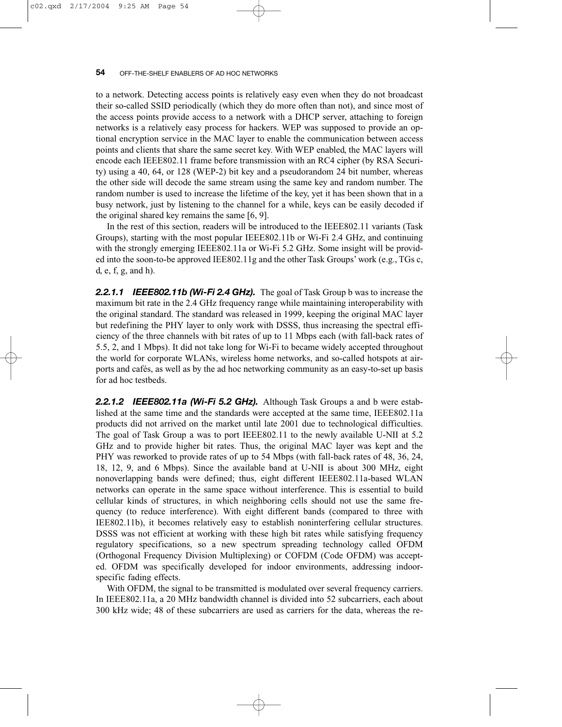to a network. Detecting access points is relatively easy even when they do not broadcast their so-called SSID periodically (which they do more often than not), and since most of the access points provide access to a network with a DHCP server, attaching to foreign networks is a relatively easy process for hackers. WEP was supposed to provide an optional encryption service in the MAC layer to enable the communication between access points and clients that share the same secret key. With WEP enabled, the MAC layers will encode each IEEE802.11 frame before transmission with an RC4 cipher (by RSA Security) using a 40, 64, or 128 (WEP-2) bit key and a pseudorandom 24 bit number, whereas the other side will decode the same stream using the same key and random number. The random number is used to increase the lifetime of the key, yet it has been shown that in a busy network, just by listening to the channel for a while, keys can be easily decoded if the original shared key remains the same [6, 9].

In the rest of this section, readers will be introduced to the IEEE802.11 variants (Task Groups), starting with the most popular IEEE802.11b or Wi-Fi 2.4 GHz, and continuing with the strongly emerging IEEE802.11a or Wi-Fi 5.2 GHz. Some insight will be provided into the soon-to-be approved IEE802.11g and the other Task Groups' work (e.g., TGs c, d, e, f, g, and h).

*2.2.1.1 IEEE802.11b (Wi-Fi 2.4 GHz).* The goal of Task Group b was to increase the maximum bit rate in the 2.4 GHz frequency range while maintaining interoperability with the original standard. The standard was released in 1999, keeping the original MAC layer but redefining the PHY layer to only work with DSSS, thus increasing the spectral efficiency of the three channels with bit rates of up to 11 Mbps each (with fall-back rates of 5.5, 2, and 1 Mbps). It did not take long for Wi-Fi to became widely accepted throughout the world for corporate WLANs, wireless home networks, and so-called hotspots at airports and cafés, as well as by the ad hoc networking community as an easy-to-set up basis for ad hoc testbeds.

*2.2.1.2 IEEE802.11a (Wi-Fi 5.2 GHz).* Although Task Groups a and b were established at the same time and the standards were accepted at the same time, IEEE802.11a products did not arrived on the market until late 2001 due to technological difficulties. The goal of Task Group a was to port IEEE802.11 to the newly available U-NII at 5.2 GHz and to provide higher bit rates. Thus, the original MAC layer was kept and the PHY was reworked to provide rates of up to 54 Mbps (with fall-back rates of 48, 36, 24, 18, 12, 9, and 6 Mbps). Since the available band at U-NII is about 300 MHz, eight nonoverlapping bands were defined; thus, eight different IEEE802.11a-based WLAN networks can operate in the same space without interference. This is essential to build cellular kinds of structures, in which neighboring cells should not use the same frequency (to reduce interference). With eight different bands (compared to three with IEE802.11b), it becomes relatively easy to establish noninterfering cellular structures. DSSS was not efficient at working with these high bit rates while satisfying frequency regulatory specifications, so a new spectrum spreading technology called OFDM (Orthogonal Frequency Division Multiplexing) or COFDM (Code OFDM) was accepted. OFDM was specifically developed for indoor environments, addressing indoorspecific fading effects.

With OFDM, the signal to be transmitted is modulated over several frequency carriers. In IEEE802.11a, a 20 MHz bandwidth channel is divided into 52 subcarriers, each about 300 kHz wide; 48 of these subcarriers are used as carriers for the data, whereas the re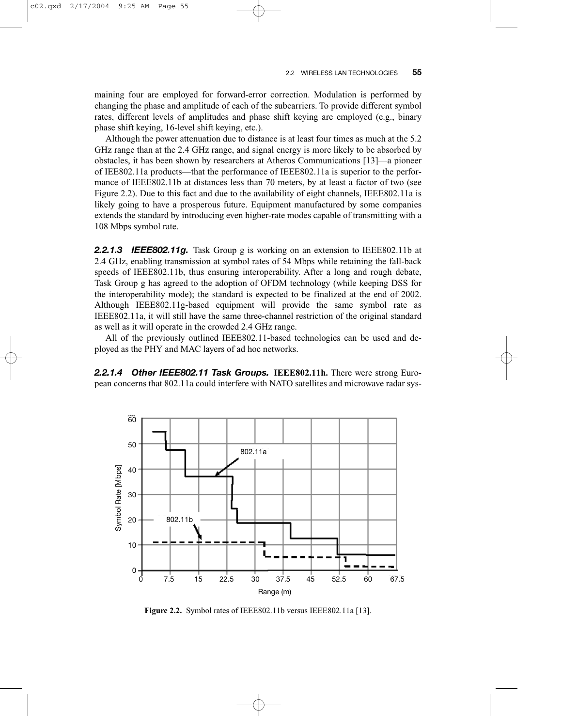maining four are employed for forward-error correction. Modulation is performed by changing the phase and amplitude of each of the subcarriers. To provide different symbol rates, different levels of amplitudes and phase shift keying are employed (e.g., binary phase shift keying, 16-level shift keying, etc.).

Although the power attenuation due to distance is at least four times as much at the 5.2 GHz range than at the 2.4 GHz range, and signal energy is more likely to be absorbed by obstacles, it has been shown by researchers at Atheros Communications [13]—a pioneer of IEE802.11a products—that the performance of IEEE802.11a is superior to the performance of IEEE802.11b at distances less than 70 meters, by at least a factor of two (see Figure 2.2). Due to this fact and due to the availability of eight channels, IEEE802.11a is likely going to have a prosperous future. Equipment manufactured by some companies extends the standard by introducing even higher-rate modes capable of transmitting with a 108 Mbps symbol rate.

*2.2.1.3 IEEE802.11g.* Task Group g is working on an extension to IEEE802.11b at 2.4 GHz, enabling transmission at symbol rates of 54 Mbps while retaining the fall-back speeds of IEEE802.11b, thus ensuring interoperability. After a long and rough debate, Task Group g has agreed to the adoption of OFDM technology (while keeping DSS for the interoperability mode); the standard is expected to be finalized at the end of 2002. Although IEEE802.11g-based equipment will provide the same symbol rate as IEEE802.11a, it will still have the same three-channel restriction of the original standard as well as it will operate in the crowded 2.4 GHz range.

All of the previously outlined IEEE802.11-based technologies can be used and deployed as the PHY and MAC layers of ad hoc networks.

*2.2.1.4 Other IEEE802.11 Task Groups.* **IEEE802.11h.** There were strong European concerns that 802.11a could interfere with NATO satellites and microwave radar sys-



**Figure 2.2.** Symbol rates of IEEE802.11b versus IEEE802.11a [13].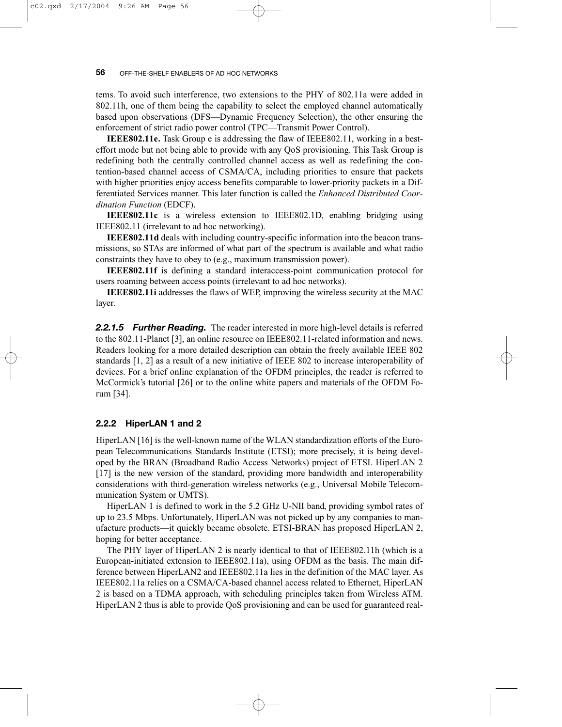tems. To avoid such interference, two extensions to the PHY of 802.11a were added in 802.11h, one of them being the capability to select the employed channel automatically based upon observations (DFS—Dynamic Frequency Selection), the other ensuring the enforcement of strict radio power control (TPC—Transmit Power Control).

**IEEE802.11e.** Task Group e is addressing the flaw of IEEE802.11, working in a besteffort mode but not being able to provide with any QoS provisioning. This Task Group is redefining both the centrally controlled channel access as well as redefining the contention-based channel access of CSMA/CA, including priorities to ensure that packets with higher priorities enjoy access benefits comparable to lower-priority packets in a Differentiated Services manner. This later function is called the *Enhanced Distributed Coordination Function* (EDCF).

**IEEE802.11c** is a wireless extension to IEEE802.1D, enabling bridging using IEEE802.11 (irrelevant to ad hoc networking).

**IEEE802.11d** deals with including country-specific information into the beacon transmissions, so STAs are informed of what part of the spectrum is available and what radio constraints they have to obey to (e.g., maximum transmission power).

**IEEE802.11f** is defining a standard interaccess-point communication protocol for users roaming between access points (irrelevant to ad hoc networks).

**IEEE802.11i** addresses the flaws of WEP, improving the wireless security at the MAC layer.

*2.2.1.5 Further Reading.* The reader interested in more high-level details is referred to the 802.11-Planet [3], an online resource on IEEE802.11-related information and news. Readers looking for a more detailed description can obtain the freely available IEEE 802 standards [1, 2] as a result of a new initiative of IEEE 802 to increase interoperability of devices. For a brief online explanation of the OFDM principles, the reader is referred to McCormick's tutorial [26] or to the online white papers and materials of the OFDM Forum [34].

## **2.2.2 HiperLAN 1 and 2**

HiperLAN [16] is the well-known name of the WLAN standardization efforts of the European Telecommunications Standards Institute (ETSI); more precisely, it is being developed by the BRAN (Broadband Radio Access Networks) project of ETSI. HiperLAN 2 [17] is the new version of the standard, providing more bandwidth and interoperability considerations with third-generation wireless networks (e.g., Universal Mobile Telecommunication System or UMTS).

HiperLAN 1 is defined to work in the 5.2 GHz U-NII band, providing symbol rates of up to 23.5 Mbps. Unfortunately, HiperLAN was not picked up by any companies to manufacture products—it quickly became obsolete. ETSI-BRAN has proposed HiperLAN 2, hoping for better acceptance.

The PHY layer of HiperLAN 2 is nearly identical to that of IEEE802.11h (which is a European-initiated extension to IEEE802.11a), using OFDM as the basis. The main difference between HiperLAN2 and IEEE802.11a lies in the definition of the MAC layer. As IEEE802.11a relies on a CSMA/CA-based channel access related to Ethernet, HiperLAN 2 is based on a TDMA approach, with scheduling principles taken from Wireless ATM. HiperLAN 2 thus is able to provide QoS provisioning and can be used for guaranteed real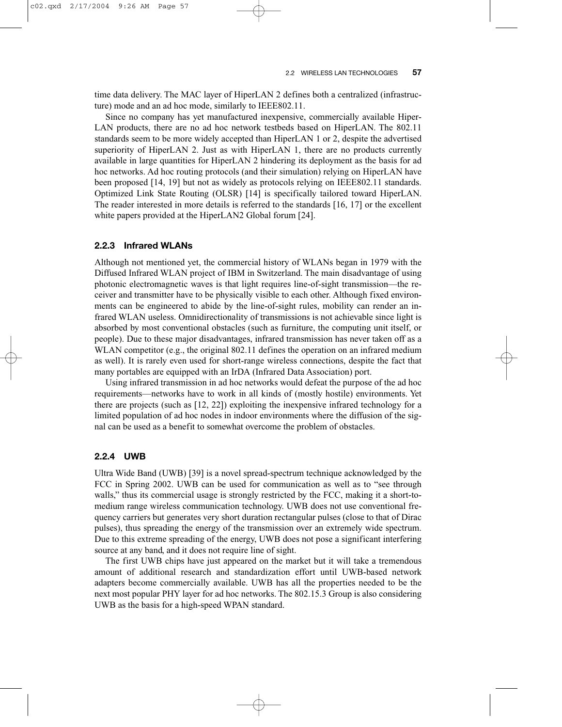time data delivery. The MAC layer of HiperLAN 2 defines both a centralized (infrastructure) mode and an ad hoc mode, similarly to IEEE802.11.

Since no company has yet manufactured inexpensive, commercially available Hiper-LAN products, there are no ad hoc network testbeds based on HiperLAN. The 802.11 standards seem to be more widely accepted than HiperLAN 1 or 2, despite the advertised superiority of HiperLAN 2. Just as with HiperLAN 1, there are no products currently available in large quantities for HiperLAN 2 hindering its deployment as the basis for ad hoc networks. Ad hoc routing protocols (and their simulation) relying on HiperLAN have been proposed [14, 19] but not as widely as protocols relying on IEEE802.11 standards. Optimized Link State Routing (OLSR) [14] is specifically tailored toward HiperLAN. The reader interested in more details is referred to the standards [16, 17] or the excellent white papers provided at the HiperLAN2 Global forum [24].

#### **2.2.3 Infrared WLANs**

Although not mentioned yet, the commercial history of WLANs began in 1979 with the Diffused Infrared WLAN project of IBM in Switzerland. The main disadvantage of using photonic electromagnetic waves is that light requires line-of-sight transmission—the receiver and transmitter have to be physically visible to each other. Although fixed environments can be engineered to abide by the line-of-sight rules, mobility can render an infrared WLAN useless. Omnidirectionality of transmissions is not achievable since light is absorbed by most conventional obstacles (such as furniture, the computing unit itself, or people). Due to these major disadvantages, infrared transmission has never taken off as a WLAN competitor (e.g., the original 802.11 defines the operation on an infrared medium as well). It is rarely even used for short-range wireless connections, despite the fact that many portables are equipped with an IrDA (Infrared Data Association) port.

Using infrared transmission in ad hoc networks would defeat the purpose of the ad hoc requirements—networks have to work in all kinds of (mostly hostile) environments. Yet there are projects (such as [12, 22]) exploiting the inexpensive infrared technology for a limited population of ad hoc nodes in indoor environments where the diffusion of the signal can be used as a benefit to somewhat overcome the problem of obstacles.

# **2.2.4 UWB**

Ultra Wide Band (UWB) [39] is a novel spread-spectrum technique acknowledged by the FCC in Spring 2002. UWB can be used for communication as well as to "see through walls," thus its commercial usage is strongly restricted by the FCC, making it a short-tomedium range wireless communication technology. UWB does not use conventional frequency carriers but generates very short duration rectangular pulses (close to that of Dirac pulses), thus spreading the energy of the transmission over an extremely wide spectrum. Due to this extreme spreading of the energy, UWB does not pose a significant interfering source at any band, and it does not require line of sight.

The first UWB chips have just appeared on the market but it will take a tremendous amount of additional research and standardization effort until UWB-based network adapters become commercially available. UWB has all the properties needed to be the next most popular PHY layer for ad hoc networks. The 802.15.3 Group is also considering UWB as the basis for a high-speed WPAN standard.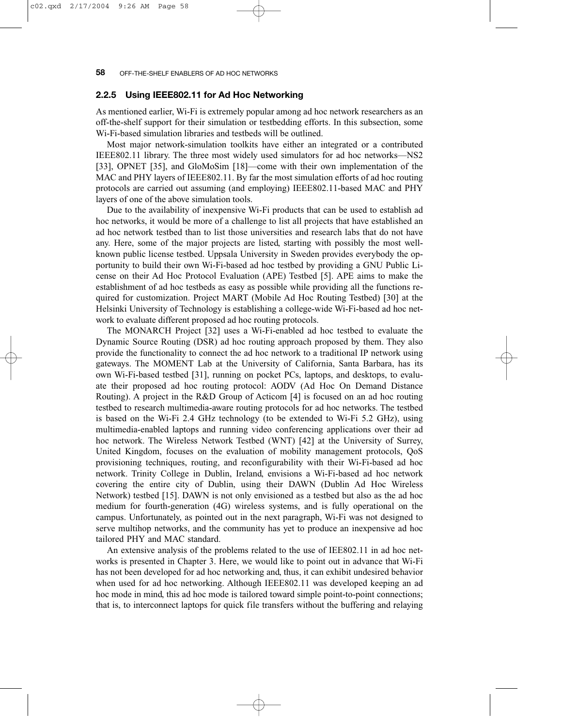# **2.2.5 Using IEEE802.11 for Ad Hoc Networking**

As mentioned earlier, Wi-Fi is extremely popular among ad hoc network researchers as an off-the-shelf support for their simulation or testbedding efforts. In this subsection, some Wi-Fi-based simulation libraries and testbeds will be outlined.

Most major network-simulation toolkits have either an integrated or a contributed IEEE802.11 library. The three most widely used simulators for ad hoc networks—NS2 [33], OPNET [35], and GloMoSim [18]—come with their own implementation of the MAC and PHY layers of IEEE802.11. By far the most simulation efforts of ad hoc routing protocols are carried out assuming (and employing) IEEE802.11-based MAC and PHY layers of one of the above simulation tools.

Due to the availability of inexpensive Wi-Fi products that can be used to establish ad hoc networks, it would be more of a challenge to list all projects that have established an ad hoc network testbed than to list those universities and research labs that do not have any. Here, some of the major projects are listed, starting with possibly the most wellknown public license testbed. Uppsala University in Sweden provides everybody the opportunity to build their own Wi-Fi-based ad hoc testbed by providing a GNU Public License on their Ad Hoc Protocol Evaluation (APE) Testbed [5]. APE aims to make the establishment of ad hoc testbeds as easy as possible while providing all the functions required for customization. Project MART (Mobile Ad Hoc Routing Testbed) [30] at the Helsinki University of Technology is establishing a college-wide Wi-Fi-based ad hoc network to evaluate different proposed ad hoc routing protocols.

The MONARCH Project [32] uses a Wi-Fi-enabled ad hoc testbed to evaluate the Dynamic Source Routing (DSR) ad hoc routing approach proposed by them. They also provide the functionality to connect the ad hoc network to a traditional IP network using gateways. The MOMENT Lab at the University of California, Santa Barbara, has its own Wi-Fi-based testbed [31], running on pocket PCs, laptops, and desktops, to evaluate their proposed ad hoc routing protocol: AODV (Ad Hoc On Demand Distance Routing). A project in the R&D Group of Acticom [4] is focused on an ad hoc routing testbed to research multimedia-aware routing protocols for ad hoc networks. The testbed is based on the Wi-Fi 2.4 GHz technology (to be extended to Wi-Fi 5.2 GHz), using multimedia-enabled laptops and running video conferencing applications over their ad hoc network. The Wireless Network Testbed (WNT) [42] at the University of Surrey, United Kingdom, focuses on the evaluation of mobility management protocols, QoS provisioning techniques, routing, and reconfigurability with their Wi-Fi-based ad hoc network. Trinity College in Dublin, Ireland, envisions a Wi-Fi-based ad hoc network covering the entire city of Dublin, using their DAWN (Dublin Ad Hoc Wireless Network) testbed [15]. DAWN is not only envisioned as a testbed but also as the ad hoc medium for fourth-generation (4G) wireless systems, and is fully operational on the campus. Unfortunately, as pointed out in the next paragraph, Wi-Fi was not designed to serve multihop networks, and the community has yet to produce an inexpensive ad hoc tailored PHY and MAC standard.

An extensive analysis of the problems related to the use of IEE802.11 in ad hoc networks is presented in Chapter 3. Here, we would like to point out in advance that Wi-Fi has not been developed for ad hoc networking and, thus, it can exhibit undesired behavior when used for ad hoc networking. Although IEEE802.11 was developed keeping an ad hoc mode in mind, this ad hoc mode is tailored toward simple point-to-point connections; that is, to interconnect laptops for quick file transfers without the buffering and relaying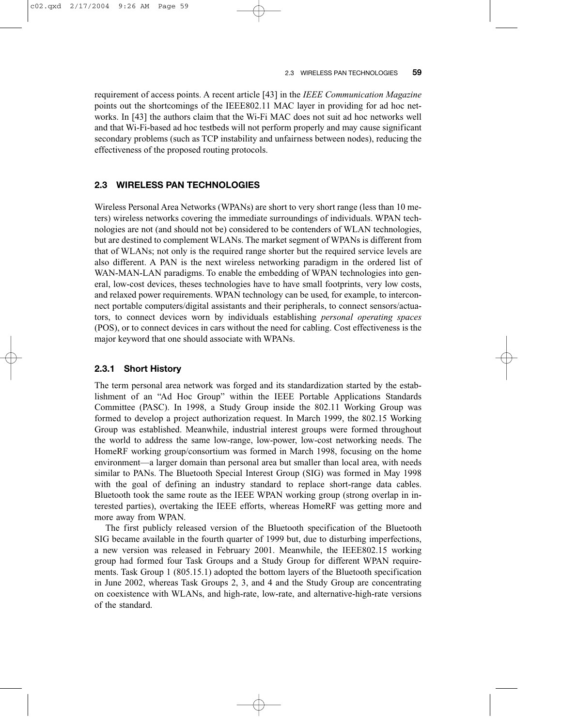secondary problems (such as TCP instability and unfairness between nodes), reducing the

# **2.3 WIRELESS PAN TECHNOLOGIES**

effectiveness of the proposed routing protocols.

Wireless Personal Area Networks (WPANs) are short to very short range (less than 10 meters) wireless networks covering the immediate surroundings of individuals. WPAN technologies are not (and should not be) considered to be contenders of WLAN technologies, but are destined to complement WLANs. The market segment of WPANs is different from that of WLANs; not only is the required range shorter but the required service levels are also different. A PAN is the next wireless networking paradigm in the ordered list of WAN-MAN-LAN paradigms. To enable the embedding of WPAN technologies into general, low-cost devices, theses technologies have to have small footprints, very low costs, and relaxed power requirements. WPAN technology can be used, for example, to interconnect portable computers/digital assistants and their peripherals, to connect sensors/actuators, to connect devices worn by individuals establishing *personal operating spaces* (POS), or to connect devices in cars without the need for cabling. Cost effectiveness is the major keyword that one should associate with WPANs.

## **2.3.1 Short History**

The term personal area network was forged and its standardization started by the establishment of an "Ad Hoc Group" within the IEEE Portable Applications Standards Committee (PASC). In 1998, a Study Group inside the 802.11 Working Group was formed to develop a project authorization request. In March 1999, the 802.15 Working Group was established. Meanwhile, industrial interest groups were formed throughout the world to address the same low-range, low-power, low-cost networking needs. The HomeRF working group/consortium was formed in March 1998, focusing on the home environment—a larger domain than personal area but smaller than local area, with needs similar to PANs. The Bluetooth Special Interest Group (SIG) was formed in May 1998 with the goal of defining an industry standard to replace short-range data cables. Bluetooth took the same route as the IEEE WPAN working group (strong overlap in interested parties), overtaking the IEEE efforts, whereas HomeRF was getting more and more away from WPAN.

The first publicly released version of the Bluetooth specification of the Bluetooth SIG became available in the fourth quarter of 1999 but, due to disturbing imperfections, a new version was released in February 2001. Meanwhile, the IEEE802.15 working group had formed four Task Groups and a Study Group for different WPAN requirements. Task Group 1 (805.15.1) adopted the bottom layers of the Bluetooth specification in June 2002, whereas Task Groups 2, 3, and 4 and the Study Group are concentrating on coexistence with WLANs, and high-rate, low-rate, and alternative-high-rate versions of the standard.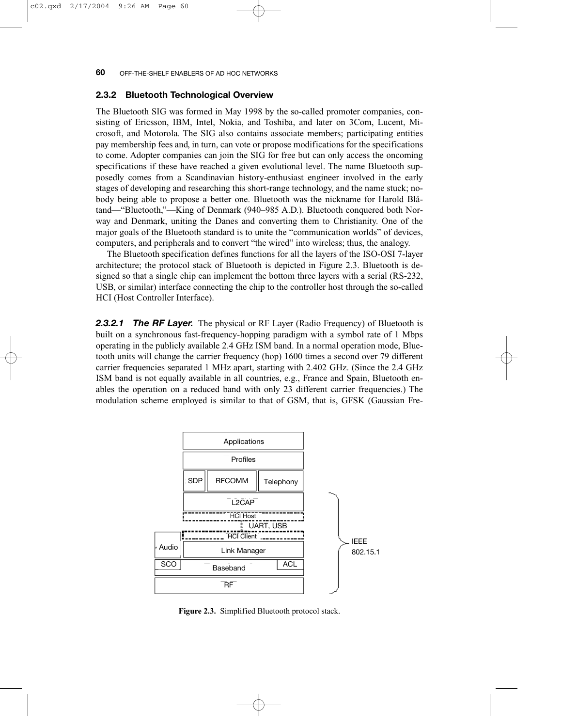#### **2.3.2 Bluetooth Technological Overview**

The Bluetooth SIG was formed in May 1998 by the so-called promoter companies, consisting of Ericsson, IBM, Intel, Nokia, and Toshiba, and later on 3Com, Lucent, Microsoft, and Motorola. The SIG also contains associate members; participating entities pay membership fees and, in turn, can vote or propose modifications for the specifications to come. Adopter companies can join the SIG for free but can only access the oncoming specifications if these have reached a given evolutional level. The name Bluetooth supposedly comes from a Scandinavian history-enthusiast engineer involved in the early stages of developing and researching this short-range technology, and the name stuck; nobody being able to propose a better one. Bluetooth was the nickname for Harold Blåtand—"Bluetooth,"—King of Denmark (940–985 A.D.). Bluetooth conquered both Norway and Denmark, uniting the Danes and converting them to Christianity. One of the major goals of the Bluetooth standard is to unite the "communication worlds" of devices, computers, and peripherals and to convert "the wired" into wireless; thus, the analogy.

The Bluetooth specification defines functions for all the layers of the ISO-OSI 7-layer architecture; the protocol stack of Bluetooth is depicted in Figure 2.3. Bluetooth is designed so that a single chip can implement the bottom three layers with a serial (RS-232, USB, or similar) interface connecting the chip to the controller host through the so-called HCI (Host Controller Interface).

*2.3.2.1 The RF Layer.* The physical or RF Layer (Radio Frequency) of Bluetooth is built on a synchronous fast-frequency-hopping paradigm with a symbol rate of 1 Mbps operating in the publicly available 2.4 GHz ISM band. In a normal operation mode, Bluetooth units will change the carrier frequency (hop) 1600 times a second over 79 different carrier frequencies separated 1 MHz apart, starting with 2.402 GHz. (Since the 2.4 GHz ISM band is not equally available in all countries, e.g., France and Spain, Bluetooth enables the operation on a reduced band with only 23 different carrier frequencies.) The modulation scheme employed is similar to that of GSM, that is, GFSK (Gaussian Fre-



**Figure 2.3.** Simplified Bluetooth protocol stack.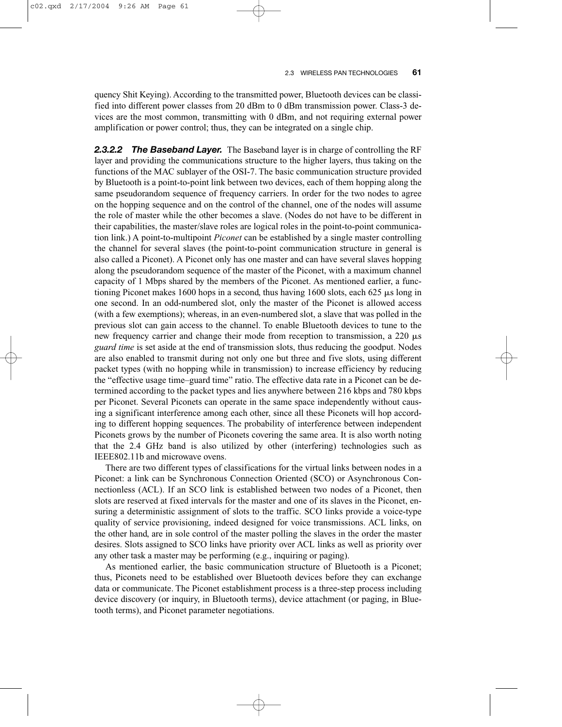*2.3.2.2 The Baseband Layer.* The Baseband layer is in charge of controlling the RF layer and providing the communications structure to the higher layers, thus taking on the functions of the MAC sublayer of the OSI-7. The basic communication structure provided by Bluetooth is a point-to-point link between two devices, each of them hopping along the same pseudorandom sequence of frequency carriers. In order for the two nodes to agree on the hopping sequence and on the control of the channel, one of the nodes will assume the role of master while the other becomes a slave. (Nodes do not have to be different in their capabilities, the master/slave roles are logical roles in the point-to-point communication link.) A point-to-multipoint *Piconet* can be established by a single master controlling the channel for several slaves (the point-to-point communication structure in general is also called a Piconet). A Piconet only has one master and can have several slaves hopping along the pseudorandom sequence of the master of the Piconet, with a maximum channel capacity of 1 Mbps shared by the members of the Piconet. As mentioned earlier, a functioning Piconet makes 1600 hops in a second, thus having 1600 slots, each 625  $\mu$ s long in one second. In an odd-numbered slot, only the master of the Piconet is allowed access (with a few exemptions); whereas, in an even-numbered slot, a slave that was polled in the previous slot can gain access to the channel. To enable Bluetooth devices to tune to the new frequency carrier and change their mode from reception to transmission, a  $220 \mu s$ *guard time* is set aside at the end of transmission slots, thus reducing the goodput. Nodes are also enabled to transmit during not only one but three and five slots, using different packet types (with no hopping while in transmission) to increase efficiency by reducing the "effective usage time–guard time" ratio. The effective data rate in a Piconet can be determined according to the packet types and lies anywhere between 216 kbps and 780 kbps per Piconet. Several Piconets can operate in the same space independently without causing a significant interference among each other, since all these Piconets will hop according to different hopping sequences. The probability of interference between independent Piconets grows by the number of Piconets covering the same area. It is also worth noting that the 2.4 GHz band is also utilized by other (interfering) technologies such as IEEE802.11b and microwave ovens.

There are two different types of classifications for the virtual links between nodes in a Piconet: a link can be Synchronous Connection Oriented (SCO) or Asynchronous Connectionless (ACL). If an SCO link is established between two nodes of a Piconet, then slots are reserved at fixed intervals for the master and one of its slaves in the Piconet, ensuring a deterministic assignment of slots to the traffic. SCO links provide a voice-type quality of service provisioning, indeed designed for voice transmissions. ACL links, on the other hand, are in sole control of the master polling the slaves in the order the master desires. Slots assigned to SCO links have priority over ACL links as well as priority over any other task a master may be performing (e.g., inquiring or paging).

As mentioned earlier, the basic communication structure of Bluetooth is a Piconet; thus, Piconets need to be established over Bluetooth devices before they can exchange data or communicate. The Piconet establishment process is a three-step process including device discovery (or inquiry, in Bluetooth terms), device attachment (or paging, in Bluetooth terms), and Piconet parameter negotiations.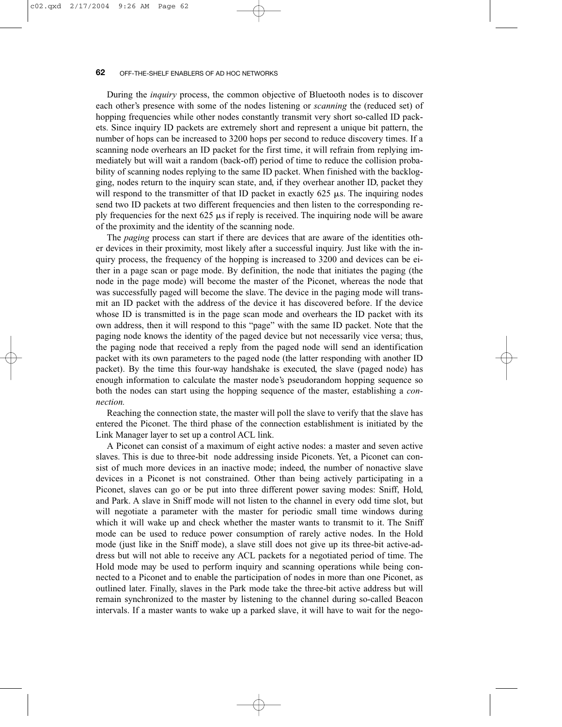During the *inquiry* process, the common objective of Bluetooth nodes is to discover each other's presence with some of the nodes listening or *scanning* the (reduced set) of hopping frequencies while other nodes constantly transmit very short so-called ID packets. Since inquiry ID packets are extremely short and represent a unique bit pattern, the number of hops can be increased to 3200 hops per second to reduce discovery times. If a scanning node overhears an ID packet for the first time, it will refrain from replying immediately but will wait a random (back-off) period of time to reduce the collision probability of scanning nodes replying to the same ID packet. When finished with the backlogging, nodes return to the inquiry scan state, and, if they overhear another ID, packet they will respond to the transmitter of that ID packet in exactly  $625 \mu s$ . The inquiring nodes send two ID packets at two different frequencies and then listen to the corresponding reply frequencies for the next  $625 \mu s$  if reply is received. The inquiring node will be aware of the proximity and the identity of the scanning node.

The *paging* process can start if there are devices that are aware of the identities other devices in their proximity, most likely after a successful inquiry. Just like with the inquiry process, the frequency of the hopping is increased to 3200 and devices can be either in a page scan or page mode. By definition, the node that initiates the paging (the node in the page mode) will become the master of the Piconet, whereas the node that was successfully paged will become the slave. The device in the paging mode will transmit an ID packet with the address of the device it has discovered before. If the device whose ID is transmitted is in the page scan mode and overhears the ID packet with its own address, then it will respond to this "page" with the same ID packet. Note that the paging node knows the identity of the paged device but not necessarily vice versa; thus, the paging node that received a reply from the paged node will send an identification packet with its own parameters to the paged node (the latter responding with another ID packet). By the time this four-way handshake is executed, the slave (paged node) has enough information to calculate the master node's pseudorandom hopping sequence so both the nodes can start using the hopping sequence of the master, establishing a *connection.*

Reaching the connection state, the master will poll the slave to verify that the slave has entered the Piconet. The third phase of the connection establishment is initiated by the Link Manager layer to set up a control ACL link.

A Piconet can consist of a maximum of eight active nodes: a master and seven active slaves. This is due to three-bit node addressing inside Piconets. Yet, a Piconet can consist of much more devices in an inactive mode; indeed, the number of nonactive slave devices in a Piconet is not constrained. Other than being actively participating in a Piconet, slaves can go or be put into three different power saving modes: Sniff, Hold, and Park. A slave in Sniff mode will not listen to the channel in every odd time slot, but will negotiate a parameter with the master for periodic small time windows during which it will wake up and check whether the master wants to transmit to it. The Sniff mode can be used to reduce power consumption of rarely active nodes. In the Hold mode (just like in the Sniff mode), a slave still does not give up its three-bit active-address but will not able to receive any ACL packets for a negotiated period of time. The Hold mode may be used to perform inquiry and scanning operations while being connected to a Piconet and to enable the participation of nodes in more than one Piconet, as outlined later. Finally, slaves in the Park mode take the three-bit active address but will remain synchronized to the master by listening to the channel during so-called Beacon intervals. If a master wants to wake up a parked slave, it will have to wait for the nego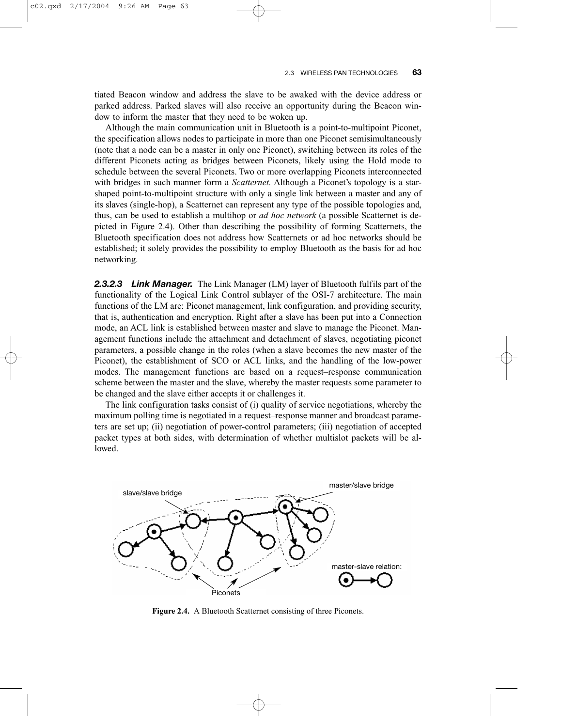tiated Beacon window and address the slave to be awaked with the device address or parked address. Parked slaves will also receive an opportunity during the Beacon window to inform the master that they need to be woken up.

Although the main communication unit in Bluetooth is a point-to-multipoint Piconet, the specification allows nodes to participate in more than one Piconet semisimultaneously (note that a node can be a master in only one Piconet), switching between its roles of the different Piconets acting as bridges between Piconets, likely using the Hold mode to schedule between the several Piconets. Two or more overlapping Piconets interconnected with bridges in such manner form a *Scatternet.* Although a Piconet's topology is a starshaped point-to-multipoint structure with only a single link between a master and any of its slaves (single-hop), a Scatternet can represent any type of the possible topologies and, thus, can be used to establish a multihop or *ad hoc network* (a possible Scatternet is depicted in Figure 2.4). Other than describing the possibility of forming Scatternets, the Bluetooth specification does not address how Scatternets or ad hoc networks should be established; it solely provides the possibility to employ Bluetooth as the basis for ad hoc networking.

*2.3.2.3 Link Manager.* The Link Manager (LM) layer of Bluetooth fulfils part of the functionality of the Logical Link Control sublayer of the OSI-7 architecture. The main functions of the LM are: Piconet management, link configuration, and providing security, that is, authentication and encryption. Right after a slave has been put into a Connection mode, an ACL link is established between master and slave to manage the Piconet. Management functions include the attachment and detachment of slaves, negotiating piconet parameters, a possible change in the roles (when a slave becomes the new master of the Piconet), the establishment of SCO or ACL links, and the handling of the low-power modes. The management functions are based on a request–response communication scheme between the master and the slave, whereby the master requests some parameter to be changed and the slave either accepts it or challenges it.

The link configuration tasks consist of (i) quality of service negotiations, whereby the maximum polling time is negotiated in a request–response manner and broadcast parameters are set up; (ii) negotiation of power-control parameters; (iii) negotiation of accepted packet types at both sides, with determination of whether multislot packets will be allowed.



**Figure 2.4.** A Bluetooth Scatternet consisting of three Piconets.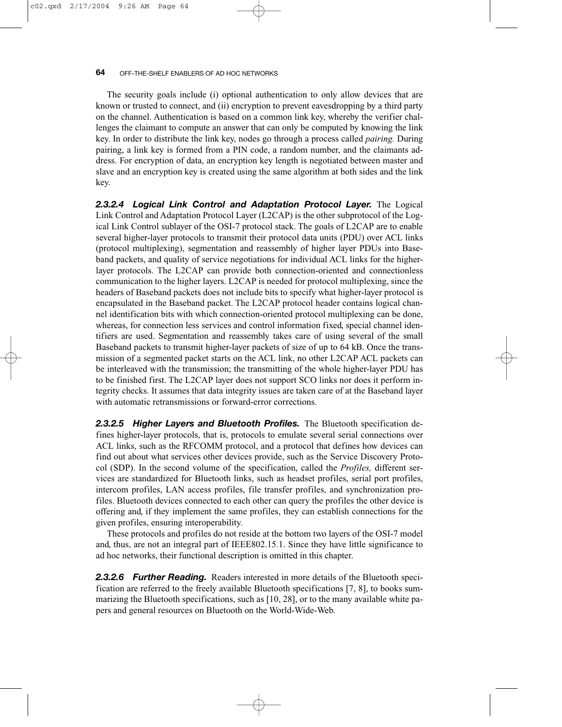The security goals include (i) optional authentication to only allow devices that are known or trusted to connect, and (ii) encryption to prevent eavesdropping by a third party on the channel. Authentication is based on a common link key, whereby the verifier challenges the claimant to compute an answer that can only be computed by knowing the link key. In order to distribute the link key, nodes go through a process called *pairing.* During pairing, a link key is formed from a PIN code, a random number, and the claimants address. For encryption of data, an encryption key length is negotiated between master and slave and an encryption key is created using the same algorithm at both sides and the link key.

*2.3.2.4 Logical Link Control and Adaptation Protocol Layer.* The Logical Link Control and Adaptation Protocol Layer (L2CAP) is the other subprotocol of the Logical Link Control sublayer of the OSI-7 protocol stack. The goals of L2CAP are to enable several higher-layer protocols to transmit their protocol data units (PDU) over ACL links (protocol multiplexing), segmentation and reassembly of higher layer PDUs into Baseband packets, and quality of service negotiations for individual ACL links for the higherlayer protocols. The L2CAP can provide both connection-oriented and connectionless communication to the higher layers. L2CAP is needed for protocol multiplexing, since the headers of Baseband packets does not include bits to specify what higher-layer protocol is encapsulated in the Baseband packet. The L2CAP protocol header contains logical channel identification bits with which connection-oriented protocol multiplexing can be done, whereas, for connection less services and control information fixed, special channel identifiers are used. Segmentation and reassembly takes care of using several of the small Baseband packets to transmit higher-layer packets of size of up to 64 kB. Once the transmission of a segmented packet starts on the ACL link, no other L2CAP ACL packets can be interleaved with the transmission; the transmitting of the whole higher-layer PDU has to be finished first. The L2CAP layer does not support SCO links nor does it perform integrity checks. It assumes that data integrity issues are taken care of at the Baseband layer with automatic retransmissions or forward-error corrections.

*2.3.2.5 Higher Layers and Bluetooth Profiles.* The Bluetooth specification defines higher-layer protocols, that is, protocols to emulate several serial connections over ACL links, such as the RFCOMM protocol, and a protocol that defines how devices can find out about what services other devices provide, such as the Service Discovery Protocol (SDP). In the second volume of the specification, called the *Profiles,* different services are standardized for Bluetooth links, such as headset profiles, serial port profiles, intercom profiles, LAN access profiles, file transfer profiles, and synchronization profiles. Bluetooth devices connected to each other can query the profiles the other device is offering and, if they implement the same profiles, they can establish connections for the given profiles, ensuring interoperability.

These protocols and profiles do not reside at the bottom two layers of the OSI-7 model and, thus, are not an integral part of IEEE802.15.1. Since they have little significance to ad hoc networks, their functional description is omitted in this chapter.

*2.3.2.6 Further Reading.* Readers interested in more details of the Bluetooth specification are referred to the freely available Bluetooth specifications [7, 8], to books summarizing the Bluetooth specifications, such as [10, 28], or to the many available white papers and general resources on Bluetooth on the World-Wide-Web.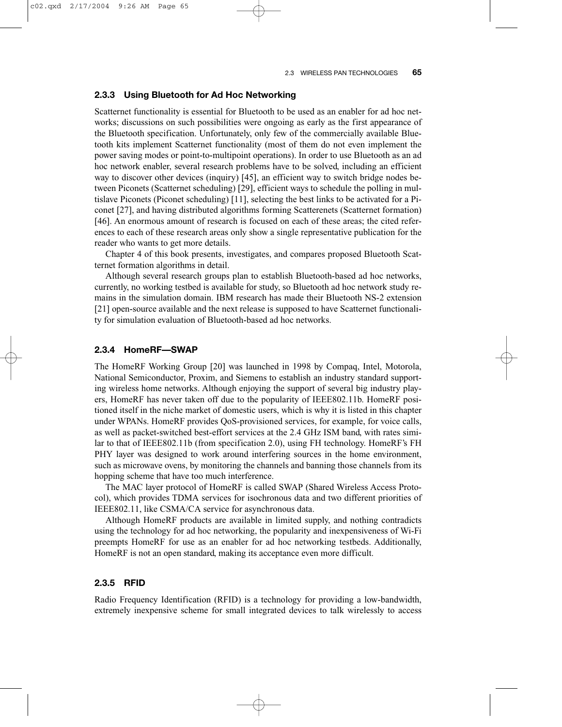# **2.3.3 Using Bluetooth for Ad Hoc Networking**

Scatternet functionality is essential for Bluetooth to be used as an enabler for ad hoc networks; discussions on such possibilities were ongoing as early as the first appearance of the Bluetooth specification. Unfortunately, only few of the commercially available Bluetooth kits implement Scatternet functionality (most of them do not even implement the power saving modes or point-to-multipoint operations). In order to use Bluetooth as an ad hoc network enabler, several research problems have to be solved, including an efficient way to discover other devices (inquiry) [45], an efficient way to switch bridge nodes between Piconets (Scatternet scheduling) [29], efficient ways to schedule the polling in multislave Piconets (Piconet scheduling) [11], selecting the best links to be activated for a Piconet [27], and having distributed algorithms forming Scatterenets (Scatternet formation) [46]. An enormous amount of research is focused on each of these areas; the cited references to each of these research areas only show a single representative publication for the reader who wants to get more details.

Chapter 4 of this book presents, investigates, and compares proposed Bluetooth Scatternet formation algorithms in detail.

Although several research groups plan to establish Bluetooth-based ad hoc networks, currently, no working testbed is available for study, so Bluetooth ad hoc network study remains in the simulation domain. IBM research has made their Bluetooth NS-2 extension [21] open-source available and the next release is supposed to have Scatternet functionality for simulation evaluation of Bluetooth-based ad hoc networks.

#### **2.3.4 HomeRF—SWAP**

The HomeRF Working Group [20] was launched in 1998 by Compaq, Intel, Motorola, National Semiconductor, Proxim, and Siemens to establish an industry standard supporting wireless home networks. Although enjoying the support of several big industry players, HomeRF has never taken off due to the popularity of IEEE802.11b. HomeRF positioned itself in the niche market of domestic users, which is why it is listed in this chapter under WPANs. HomeRF provides QoS-provisioned services, for example, for voice calls, as well as packet-switched best-effort services at the 2.4 GHz ISM band, with rates similar to that of IEEE802.11b (from specification 2.0), using FH technology. HomeRF's FH PHY layer was designed to work around interfering sources in the home environment, such as microwave ovens, by monitoring the channels and banning those channels from its hopping scheme that have too much interference.

The MAC layer protocol of HomeRF is called SWAP (Shared Wireless Access Protocol), which provides TDMA services for isochronous data and two different priorities of IEEE802.11, like CSMA/CA service for asynchronous data.

Although HomeRF products are available in limited supply, and nothing contradicts using the technology for ad hoc networking, the popularity and inexpensiveness of Wi-Fi preempts HomeRF for use as an enabler for ad hoc networking testbeds. Additionally, HomeRF is not an open standard, making its acceptance even more difficult.

#### **2.3.5 RFID**

Radio Frequency Identification (RFID) is a technology for providing a low-bandwidth, extremely inexpensive scheme for small integrated devices to talk wirelessly to access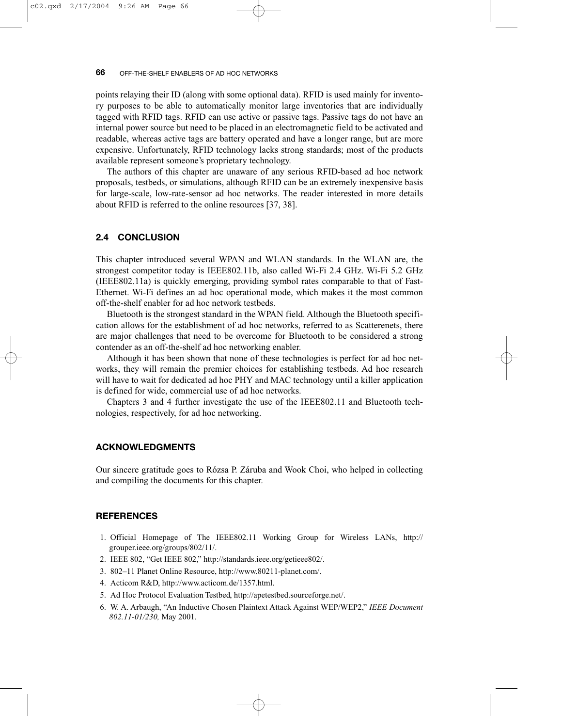points relaying their ID (along with some optional data). RFID is used mainly for inventory purposes to be able to automatically monitor large inventories that are individually tagged with RFID tags. RFID can use active or passive tags. Passive tags do not have an internal power source but need to be placed in an electromagnetic field to be activated and readable, whereas active tags are battery operated and have a longer range, but are more expensive. Unfortunately, RFID technology lacks strong standards; most of the products available represent someone's proprietary technology.

The authors of this chapter are unaware of any serious RFID-based ad hoc network proposals, testbeds, or simulations, although RFID can be an extremely inexpensive basis for large-scale, low-rate-sensor ad hoc networks. The reader interested in more details about RFID is referred to the online resources [37, 38].

## **2.4 CONCLUSION**

This chapter introduced several WPAN and WLAN standards. In the WLAN are, the strongest competitor today is IEEE802.11b, also called Wi-Fi 2.4 GHz. Wi-Fi 5.2 GHz (IEEE802.11a) is quickly emerging, providing symbol rates comparable to that of Fast-Ethernet. Wi-Fi defines an ad hoc operational mode, which makes it the most common off-the-shelf enabler for ad hoc network testbeds.

Bluetooth is the strongest standard in the WPAN field. Although the Bluetooth specification allows for the establishment of ad hoc networks, referred to as Scatterenets, there are major challenges that need to be overcome for Bluetooth to be considered a strong contender as an off-the-shelf ad hoc networking enabler.

Although it has been shown that none of these technologies is perfect for ad hoc networks, they will remain the premier choices for establishing testbeds. Ad hoc research will have to wait for dedicated ad hoc PHY and MAC technology until a killer application is defined for wide, commercial use of ad hoc networks.

Chapters 3 and 4 further investigate the use of the IEEE802.11 and Bluetooth technologies, respectively, for ad hoc networking.

## **ACKNOWLEDGMENTS**

Our sincere gratitude goes to Rózsa P. Záruba and Wook Choi, who helped in collecting and compiling the documents for this chapter.

## **REFERENCES**

- 1. Official Homepage of The IEEE802.11 Working Group for Wireless LANs, http:// grouper.ieee.org/groups/802/11/.
- 2. IEEE 802, "Get IEEE 802," http://standards.ieee.org/getieee802/.
- 3. 802–11 Planet Online Resource, http://www.80211-planet.com/.
- 4. Acticom R&D, http://www.acticom.de/1357.html.
- 5. Ad Hoc Protocol Evaluation Testbed, http://apetestbed.sourceforge.net/.
- 6. W. A. Arbaugh, "An Inductive Chosen Plaintext Attack Against WEP/WEP2," *IEEE Document 802.11-01/230,* May 2001.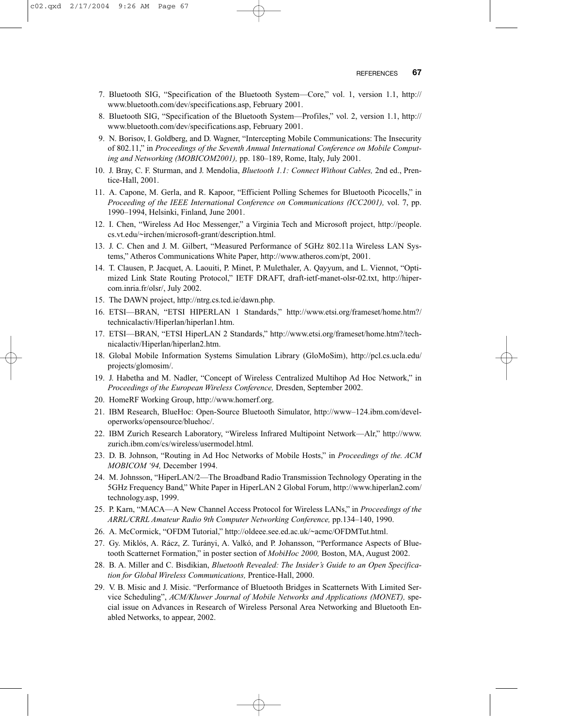- 7. Bluetooth SIG, "Specification of the Bluetooth System—Core," vol. 1, version 1.1, http:// www.bluetooth.com/dev/specifications.asp, February 2001.
- 8. Bluetooth SIG, "Specification of the Bluetooth System—Profiles," vol. 2, version 1.1, http:// www.bluetooth.com/dev/specifications.asp, February 2001.
- 9. N. Borisov, I. Goldberg, and D. Wagner, "Intercepting Mobile Communications: The Insecurity of 802.11," in *Proceedings of the Seventh Annual International Conference on Mobile Computing and Networking (MOBICOM2001),* pp. 180–189, Rome, Italy, July 2001.
- 10. J. Bray, C. F. Sturman, and J. Mendolia, *Bluetooth 1.1: Connect Without Cables,* 2nd ed., Prentice-Hall, 2001.
- 11. A. Capone, M. Gerla, and R. Kapoor, "Efficient Polling Schemes for Bluetooth Picocells," in *Proceeding of the IEEE International Conference on Communications (ICC2001),* vol. 7, pp. 1990–1994, Helsinki, Finland, June 2001.
- 12. I. Chen, "Wireless Ad Hoc Messenger," a Virginia Tech and Microsoft project, http://people. cs.vt.edu/~irchen/microsoft-grant/description.html.
- 13. J. C. Chen and J. M. Gilbert, "Measured Performance of 5GHz 802.11a Wireless LAN Systems," Atheros Communications White Paper, http://www.atheros.com/pt, 2001.
- 14. T. Clausen, P. Jacquet, A. Laouiti, P. Minet, P. Mulethaler, A. Qayyum, and L. Viennot, "Optimized Link State Routing Protocol," IETF DRAFT, draft-ietf-manet-olsr-02.txt, http://hipercom.inria.fr/olsr/, July 2002.
- 15. The DAWN project, http://ntrg.cs.tcd.ie/dawn.php.
- 16. ETSI—BRAN, "ETSI HIPERLAN 1 Standards," http://www.etsi.org/frameset/home.htm?/ technicalactiv/Hiperlan/hiperlan1.htm.
- 17. ETSI—BRAN, "ETSI HiperLAN 2 Standards," http://www.etsi.org/frameset/home.htm?/technicalactiv/Hiperlan/hiperlan2.htm.
- 18. Global Mobile Information Systems Simulation Library (GloMoSim), http://pcl.cs.ucla.edu/ projects/glomosim/.
- 19. J. Habetha and M. Nadler, "Concept of Wireless Centralized Multihop Ad Hoc Network," in *Proceedings of the European Wireless Conference,* Dresden, September 2002.
- 20. HomeRF Working Group, http://www.homerf.org.
- 21. IBM Research, BlueHoc: Open-Source Bluetooth Simulator, http://www–124.ibm.com/developerworks/opensource/bluehoc/.
- 22. IBM Zurich Research Laboratory, "Wireless Infrared Multipoint Network—Alr," http://www. zurich.ibm.com/cs/wireless/usermodel.html.
- 23. D. B. Johnson, "Routing in Ad Hoc Networks of Mobile Hosts," in *Proceedings of the. ACM MOBICOM '94,* December 1994.
- 24. M. Johnsson, "HiperLAN/2—The Broadband Radio Transmission Technology Operating in the 5GHz Frequency Band," White Paper in HiperLAN 2 Global Forum, http://www.hiperlan2.com/ technology.asp, 1999.
- 25. P. Karn, "MACA—A New Channel Access Protocol for Wireless LANs," in *Proceedings of the ARRL/CRRL Amateur Radio 9th Computer Networking Conference,* pp.134–140, 1990.
- 26. A. McCormick, "OFDM Tutorial," http://oldeee.see.ed.ac.uk/~acmc/OFDMTut.html.
- 27. Gy. Miklós, A. Rácz, Z. Turányi, A. Valkó, and P. Johansson, "Performance Aspects of Bluetooth Scatternet Formation," in poster section of *MobiHoc 2000,* Boston, MA, August 2002.
- 28. B. A. Miller and C. Bisdikian, *Bluetooth Revealed: The Insider's Guide to an Open Specification for Global Wireless Communications,* Prentice-Hall, 2000.
- 29. V. B. Misic and J. Misic. "Performance of Bluetooth Bridges in Scatternets With Limited Service Scheduling", *ACM/Kluwer Journal of Mobile Networks and Applications (MONET),* special issue on Advances in Research of Wireless Personal Area Networking and Bluetooth Enabled Networks, to appear, 2002.